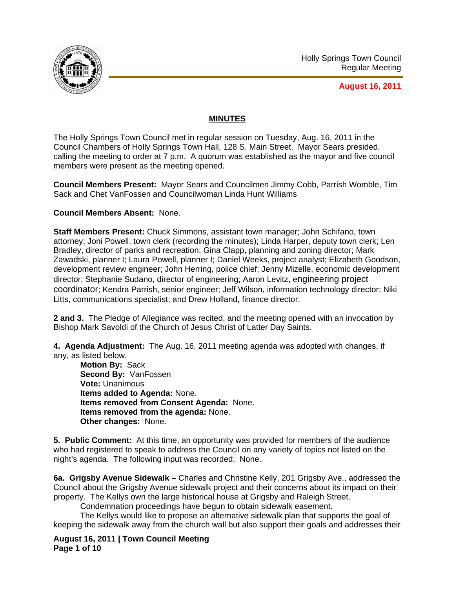

**August 16, 2011**

# **MINUTES**

The Holly Springs Town Council met in regular session on Tuesday, Aug. 16, 2011 in the Council Chambers of Holly Springs Town Hall, 128 S. Main Street. Mayor Sears presided, calling the meeting to order at 7 p.m. A quorum was established as the mayor and five council members were present as the meeting opened.

**Council Members Present:** Mayor Sears and Councilmen Jimmy Cobb, Parrish Womble, Tim Sack and Chet VanFossen and Councilwoman Linda Hunt Williams

## **Council Members Absent:** None.

**Staff Members Present:** Chuck Simmons, assistant town manager; John Schifano, town attorney; Joni Powell, town clerk (recording the minutes); Linda Harper, deputy town clerk; Len Bradley, director of parks and recreation; Gina Clapp, planning and zoning director; Mark Zawadski, planner I; Laura Powell, planner I; Daniel Weeks, project analyst; Elizabeth Goodson, development review engineer; John Herring, police chief; Jenny Mizelle, economic development director; Stephanie Sudano, director of engineering; Aaron Levitz, engineering project coordinator; Kendra Parrish, senior engineer; Jeff Wilson, information technology director; Niki Litts, communications specialist; and Drew Holland, finance director.

**2 and 3.** The Pledge of Allegiance was recited, and the meeting opened with an invocation by Bishop Mark Savoldi of the Church of Jesus Christ of Latter Day Saints.

**4. Agenda Adjustment:** The Aug. 16, 2011 meeting agenda was adopted with changes, if any, as listed below.

**Motion By:** Sack **Second By:** VanFossen **Vote:** Unanimous **Items added to Agenda:** None. **Items removed from Consent Agenda:** None. **Items removed from the agenda:** None. **Other changes:** None.

**5. Public Comment:** At this time, an opportunity was provided for members of the audience who had registered to speak to address the Council on any variety of topics not listed on the night's agenda. The following input was recorded: None.

**6a. Grigsby Avenue Sidewalk –** Charles and Christine Kelly, 201 Grigsby Ave., addressed the Council about the Grigsby Avenue sidewalk project and their concerns about its impact on their property. The Kellys own the large historical house at Grigsby and Raleigh Street.

Condemnation proceedings have begun to obtain sidewalk easement.

 The Kellys would like to propose an alternative sidewalk plan that supports the goal of keeping the sidewalk away from the church wall but also support their goals and addresses their

**August 16, 2011 | Town Council Meeting Page 1 of 10**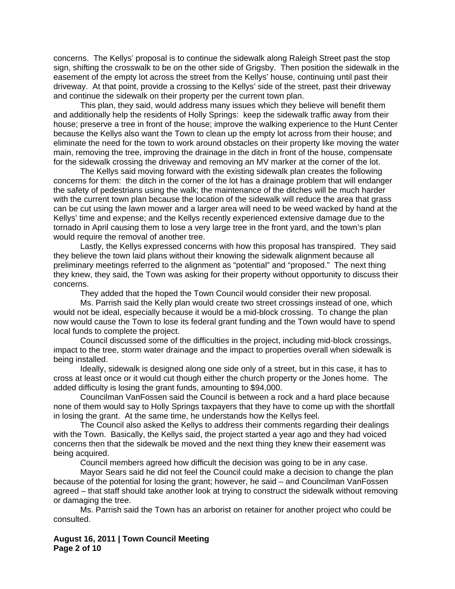concerns. The Kellys' proposal is to continue the sidewalk along Raleigh Street past the stop sign, shifting the crosswalk to be on the other side of Grigsby. Then position the sidewalk in the easement of the empty lot across the street from the Kellys' house, continuing until past their driveway. At that point, provide a crossing to the Kellys' side of the street, past their driveway and continue the sidewalk on their property per the current town plan.

 This plan, they said, would address many issues which they believe will benefit them and additionally help the residents of Holly Springs: keep the sidewalk traffic away from their house; preserve a tree in front of the house; improve the walking experience to the Hunt Center because the Kellys also want the Town to clean up the empty lot across from their house; and eliminate the need for the town to work around obstacles on their property like moving the water main, removing the tree, improving the drainage in the ditch in front of the house, compensate for the sidewalk crossing the driveway and removing an MV marker at the corner of the lot.

 The Kellys said moving forward with the existing sidewalk plan creates the following concerns for them: the ditch in the corner of the lot has a drainage problem that will endanger the safety of pedestrians using the walk; the maintenance of the ditches will be much harder with the current town plan because the location of the sidewalk will reduce the area that grass can be cut using the lawn mower and a larger area will need to be weed wacked by hand at the Kellys' time and expense; and the Kellys recently experienced extensive damage due to the tornado in April causing them to lose a very large tree in the front yard, and the town's plan would require the removal of another tree.

 Lastly, the Kellys expressed concerns with how this proposal has transpired. They said they believe the town laid plans without their knowing the sidewalk alignment because all preliminary meetings referred to the alignment as "potential" and "proposed." The next thing they knew, they said, the Town was asking for their property without opportunity to discuss their concerns.

They added that the hoped the Town Council would consider their new proposal.

 Ms. Parrish said the Kelly plan would create two street crossings instead of one, which would not be ideal, especially because it would be a mid-block crossing. To change the plan now would cause the Town to lose its federal grant funding and the Town would have to spend local funds to complete the project.

Council discussed some of the difficulties in the project, including mid-block crossings, impact to the tree, storm water drainage and the impact to properties overall when sidewalk is being installed.

Ideally, sidewalk is designed along one side only of a street, but in this case, it has to cross at least once or it would cut though either the church property or the Jones home. The added difficulty is losing the grant funds, amounting to \$94,000.

Councilman VanFossen said the Council is between a rock and a hard place because none of them would say to Holly Springs taxpayers that they have to come up with the shortfall in losing the grant. At the same time, he understands how the Kellys feel.

The Council also asked the Kellys to address their comments regarding their dealings with the Town. Basically, the Kellys said, the project started a year ago and they had voiced concerns then that the sidewalk be moved and the next thing they knew their easement was being acquired.

Council members agreed how difficult the decision was going to be in any case.

Mayor Sears said he did not feel the Council could make a decision to change the plan because of the potential for losing the grant; however, he said – and Councilman VanFossen agreed – that staff should take another look at trying to construct the sidewalk without removing or damaging the tree.

Ms. Parrish said the Town has an arborist on retainer for another project who could be consulted.

**August 16, 2011 | Town Council Meeting Page 2 of 10**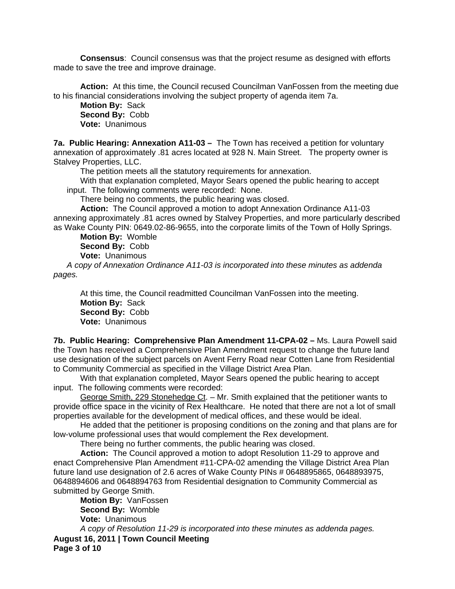**Consensus**: Council consensus was that the project resume as designed with efforts made to save the tree and improve drainage.

**Action:** At this time, the Council recused Councilman VanFossen from the meeting due to his financial considerations involving the subject property of agenda item 7a.

**Motion By:** Sack **Second By:** Cobb **Vote:** Unanimous

**7a. Public Hearing: Annexation A11-03 –** The Town has received a petition for voluntary annexation of approximately .81 acres located at 928 N. Main Street. The property owner is Stalvey Properties, LLC.

The petition meets all the statutory requirements for annexation.

With that explanation completed, Mayor Sears opened the public hearing to accept input. The following comments were recorded: None.

There being no comments, the public hearing was closed.

**Action:** The Council approved a motion to adopt Annexation Ordinance A11-03 annexing approximately .81 acres owned by Stalvey Properties, and more particularly described as Wake County PIN: 0649.02-86-9655, into the corporate limits of the Town of Holly Springs.

**Motion By:** Womble **Second By:** Cobb **Vote:** Unanimous

*A copy of Annexation Ordinance A11-03 is incorporated into these minutes as addenda pages.*

At this time, the Council readmitted Councilman VanFossen into the meeting. **Motion By:** Sack **Second By:** Cobb **Vote:** Unanimous

**7b. Public Hearing: Comprehensive Plan Amendment 11-CPA-02 –** Ms. Laura Powell said the Town has received a Comprehensive Plan Amendment request to change the future land use designation of the subject parcels on Avent Ferry Road near Cotten Lane from Residential to Community Commercial as specified in the Village District Area Plan.

With that explanation completed, Mayor Sears opened the public hearing to accept input. The following comments were recorded:

George Smith, 229 Stonehedge Ct. – Mr. Smith explained that the petitioner wants to provide office space in the vicinity of Rex Healthcare. He noted that there are not a lot of small properties available for the development of medical offices, and these would be ideal.

He added that the petitioner is proposing conditions on the zoning and that plans are for low-volume professional uses that would complement the Rex development.

There being no further comments, the public hearing was closed.

**Action:** The Council approved a motion to adopt Resolution 11-29 to approve and enact Comprehensive Plan Amendment #11-CPA-02 amending the Village District Area Plan future land use designation of 2.6 acres of Wake County PINs # 0648895865, 0648893975, 0648894606 and 0648894763 from Residential designation to Community Commercial as submitted by George Smith.

**August 16, 2011 | Town Council Meeting Page 3 of 10 Motion By:** VanFossen **Second By:** Womble **Vote:** Unanimous *A copy of Resolution 11-29 is incorporated into these minutes as addenda pages.*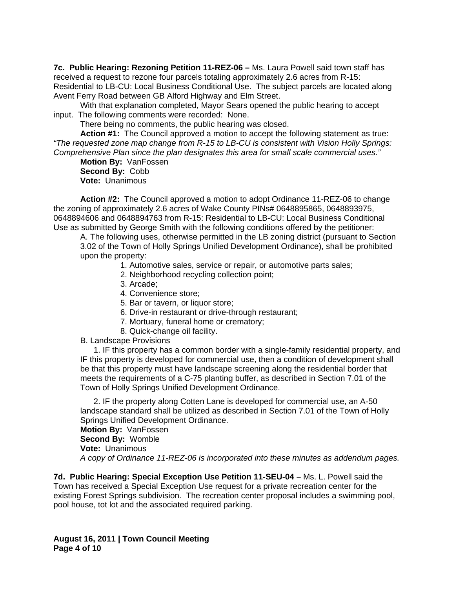**7c. Public Hearing: Rezoning Petition 11-REZ-06 –** Ms. Laura Powell said town staff has received a request to rezone four parcels totaling approximately 2.6 acres from R-15: Residential to LB-CU: Local Business Conditional Use. The subject parcels are located along Avent Ferry Road between GB Alford Highway and Elm Street.

With that explanation completed, Mayor Sears opened the public hearing to accept input. The following comments were recorded: None.

There being no comments, the public hearing was closed.

 **Action #1:** The Council approved a motion to accept the following statement as true: *"The requested zone map change from R-15 to LB-CU is consistent with Vision Holly Springs: Comprehensive Plan since the plan designates this area for small scale commercial uses."* 

**Motion By:** VanFossen **Second By:** Cobb **Vote:** Unanimous

 **Action #2:** The Council approved a motion to adopt Ordinance 11-REZ-06 to change the zoning of approximately 2.6 acres of Wake County PINs# 0648895865, 0648893975, 0648894606 and 0648894763 from R-15: Residential to LB-CU: Local Business Conditional Use as submitted by George Smith with the following conditions offered by the petitioner:

A. The following uses, otherwise permitted in the LB zoning district (pursuant to Section 3.02 of the Town of Holly Springs Unified Development Ordinance), shall be prohibited upon the property:

- 1. Automotive sales, service or repair, or automotive parts sales;
- 2. Neighborhood recycling collection point;
- 3. Arcade;
- 4. Convenience store;
- 5. Bar or tavern, or liquor store;
- 6. Drive-in restaurant or drive-through restaurant;
- 7. Mortuary, funeral home or crematory;
- 8. Quick-change oil facility.

B. Landscape Provisions

1. IF this property has a common border with a single-family residential property, and IF this property is developed for commercial use, then a condition of development shall be that this property must have landscape screening along the residential border that meets the requirements of a C-75 planting buffer, as described in Section 7.01 of the Town of Holly Springs Unified Development Ordinance.

2. IF the property along Cotten Lane is developed for commercial use, an A-50 landscape standard shall be utilized as described in Section 7.01 of the Town of Holly Springs Unified Development Ordinance.

**Motion By:** VanFossen

**Second By:** Womble

**Vote:** Unanimous

*A copy of Ordinance 11-REZ-06 is incorporated into these minutes as addendum pages.*

**7d. Public Hearing: Special Exception Use Petition 11-SEU-04 –** Ms. L. Powell said the Town has received a Special Exception Use request for a private recreation center for the existing Forest Springs subdivision. The recreation center proposal includes a swimming pool, pool house, tot lot and the associated required parking.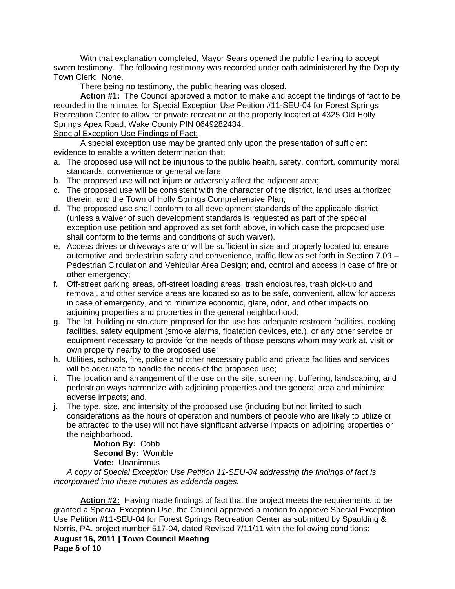With that explanation completed, Mayor Sears opened the public hearing to accept sworn testimony. The following testimony was recorded under oath administered by the Deputy Town Clerk: None.

There being no testimony, the public hearing was closed.

**Action #1:** The Council approved a motion to make and accept the findings of fact to be recorded in the minutes for Special Exception Use Petition #11-SEU-04 for Forest Springs Recreation Center to allow for private recreation at the property located at 4325 Old Holly Springs Apex Road, Wake County PIN 0649282434.

Special Exception Use Findings of Fact:

 A special exception use may be granted only upon the presentation of sufficient evidence to enable a written determination that:

- a. The proposed use will not be injurious to the public health, safety, comfort, community moral standards, convenience or general welfare;
- b. The proposed use will not injure or adversely affect the adjacent area;
- c. The proposed use will be consistent with the character of the district, land uses authorized therein, and the Town of Holly Springs Comprehensive Plan;
- d. The proposed use shall conform to all development standards of the applicable district (unless a waiver of such development standards is requested as part of the special exception use petition and approved as set forth above, in which case the proposed use shall conform to the terms and conditions of such waiver).
- e. Access drives or driveways are or will be sufficient in size and properly located to: ensure automotive and pedestrian safety and convenience, traffic flow as set forth in Section 7.09 – Pedestrian Circulation and Vehicular Area Design; and, control and access in case of fire or other emergency;
- f. Off-street parking areas, off-street loading areas, trash enclosures, trash pick-up and removal, and other service areas are located so as to be safe, convenient, allow for access in case of emergency, and to minimize economic, glare, odor, and other impacts on adjoining properties and properties in the general neighborhood;
- g. The lot, building or structure proposed for the use has adequate restroom facilities, cooking facilities, safety equipment (smoke alarms, floatation devices, etc.), or any other service or equipment necessary to provide for the needs of those persons whom may work at, visit or own property nearby to the proposed use;
- h. Utilities, schools, fire, police and other necessary public and private facilities and services will be adequate to handle the needs of the proposed use;
- i. The location and arrangement of the use on the site, screening, buffering, landscaping, and pedestrian ways harmonize with adjoining properties and the general area and minimize adverse impacts; and,
- j. The type, size, and intensity of the proposed use (including but not limited to such considerations as the hours of operation and numbers of people who are likely to utilize or be attracted to the use) will not have significant adverse impacts on adjoining properties or the neighborhood.

**Motion By:** Cobb **Second By:** Womble **Vote:** Unanimous

*A* c*opy of Special Exception Use Petition 11-SEU-04 addressing the findings of fact is incorporated into these minutes as addenda pages.* 

**August 16, 2011 | Town Council Meeting Page 5 of 10 Action #2:** Having made findings of fact that the project meets the requirements to be granted a Special Exception Use, the Council approved a motion to approve Special Exception Use Petition #11-SEU-04 for Forest Springs Recreation Center as submitted by Spaulding & Norris, PA, project number 517-04, dated Revised 7/11/11 with the following conditions: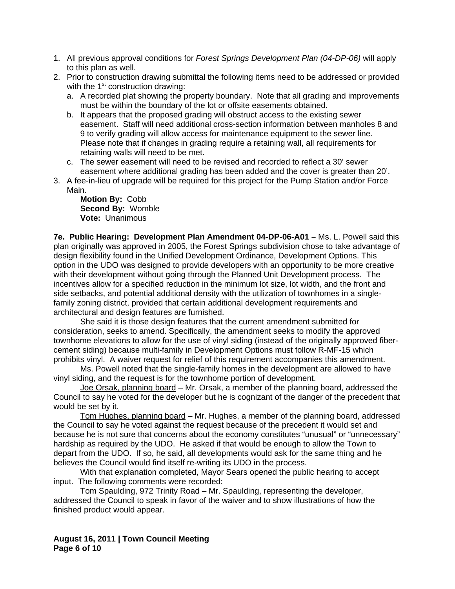- 1. All previous approval conditions for *Forest Springs Development Plan (04-DP-06)* will apply to this plan as well.
- 2. Prior to construction drawing submittal the following items need to be addressed or provided with the  $1<sup>st</sup>$  construction drawing:
	- a. A recorded plat showing the property boundary. Note that all grading and improvements must be within the boundary of the lot or offsite easements obtained.
	- b. It appears that the proposed grading will obstruct access to the existing sewer easement. Staff will need additional cross-section information between manholes 8 and 9 to verify grading will allow access for maintenance equipment to the sewer line. Please note that if changes in grading require a retaining wall, all requirements for retaining walls will need to be met.
	- c. The sewer easement will need to be revised and recorded to reflect a 30' sewer easement where additional grading has been added and the cover is greater than 20'.
- 3. A fee-in-lieu of upgrade will be required for this project for the Pump Station and/or Force Main.

## **Motion By:** Cobb **Second By:** Womble **Vote:** Unanimous

**7e. Public Hearing: Development Plan Amendment 04-DP-06-A01 –** Ms. L. Powell said this plan originally was approved in 2005, the Forest Springs subdivision chose to take advantage of design flexibility found in the Unified Development Ordinance, Development Options. This option in the UDO was designed to provide developers with an opportunity to be more creative with their development without going through the Planned Unit Development process. The incentives allow for a specified reduction in the minimum lot size, lot width, and the front and side setbacks, and potential additional density with the utilization of townhomes in a singlefamily zoning district, provided that certain additional development requirements and architectural and design features are furnished.

 She said it is those design features that the current amendment submitted for consideration, seeks to amend. Specifically, the amendment seeks to modify the approved townhome elevations to allow for the use of vinyl siding (instead of the originally approved fibercement siding) because multi-family in Development Options must follow R-MF-15 which prohibits vinyl. A waiver request for relief of this requirement accompanies this amendment.

Ms. Powell noted that the single-family homes in the development are allowed to have vinyl siding, and the request is for the townhome portion of development.

 Joe Orsak, planning board – Mr. Orsak, a member of the planning board, addressed the Council to say he voted for the developer but he is cognizant of the danger of the precedent that would be set by it.

 Tom Hughes, planning board – Mr. Hughes, a member of the planning board, addressed the Council to say he voted against the request because of the precedent it would set and because he is not sure that concerns about the economy constitutes "unusual" or "unnecessary" hardship as required by the UDO. He asked if that would be enough to allow the Town to depart from the UDO. If so, he said, all developments would ask for the same thing and he believes the Council would find itself re-writing its UDO in the process.

With that explanation completed, Mayor Sears opened the public hearing to accept input. The following comments were recorded:

 Tom Spaulding, 972 Trinity Road – Mr. Spaulding, representing the developer, addressed the Council to speak in favor of the waiver and to show illustrations of how the finished product would appear.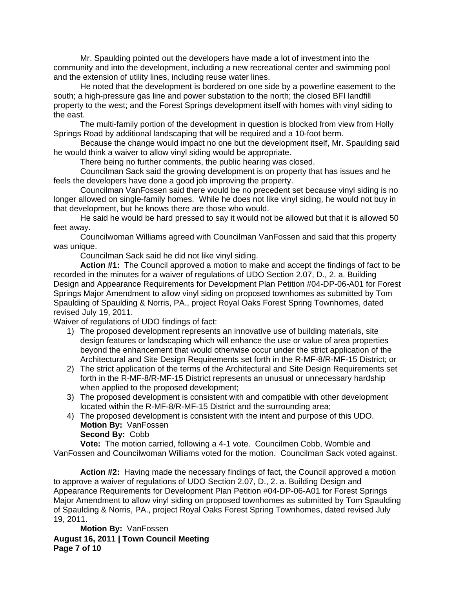Mr. Spaulding pointed out the developers have made a lot of investment into the community and into the development, including a new recreational center and swimming pool and the extension of utility lines, including reuse water lines.

 He noted that the development is bordered on one side by a powerline easement to the south; a high-pressure gas line and power substation to the north; the closed BFI landfill property to the west; and the Forest Springs development itself with homes with vinyl siding to the east.

 The multi-family portion of the development in question is blocked from view from Holly Springs Road by additional landscaping that will be required and a 10-foot berm.

 Because the change would impact no one but the development itself, Mr. Spaulding said he would think a waiver to allow vinyl siding would be appropriate.

There being no further comments, the public hearing was closed.

Councilman Sack said the growing development is on property that has issues and he feels the developers have done a good job improving the property.

Councilman VanFossen said there would be no precedent set because vinyl siding is no longer allowed on single-family homes. While he does not like vinyl siding, he would not buy in that development, but he knows there are those who would.

He said he would be hard pressed to say it would not be allowed but that it is allowed 50 feet away.

Councilwoman Williams agreed with Councilman VanFossen and said that this property was unique.

Councilman Sack said he did not like vinyl siding.

**Action #1:** The Council approved a motion to make and accept the findings of fact to be recorded in the minutes for a waiver of regulations of UDO Section 2.07, D., 2. a. Building Design and Appearance Requirements for Development Plan Petition #04-DP-06-A01 for Forest Springs Major Amendment to allow vinyl siding on proposed townhomes as submitted by Tom Spaulding of Spaulding & Norris, PA., project Royal Oaks Forest Spring Townhomes, dated revised July 19, 2011.

Waiver of regulations of UDO findings of fact:

- 1) The proposed development represents an innovative use of building materials, site design features or landscaping which will enhance the use or value of area properties beyond the enhancement that would otherwise occur under the strict application of the Architectural and Site Design Requirements set forth in the R-MF-8/R-MF-15 District; or
- 2) The strict application of the terms of the Architectural and Site Design Requirements set forth in the R-MF-8/R-MF-15 District represents an unusual or unnecessary hardship when applied to the proposed development;
- 3) The proposed development is consistent with and compatible with other development located within the R-MF-8/R-MF-15 District and the surrounding area;
- 4) The proposed development is consistent with the intent and purpose of this UDO. **Motion By:** VanFossen
	- **Second By:** Cobb

**Vote:** The motion carried, following a 4-1 vote. Councilmen Cobb, Womble and VanFossen and Councilwoman Williams voted for the motion. Councilman Sack voted against.

**Action #2:** Having made the necessary findings of fact, the Council approved a motion to approve a waiver of regulations of UDO Section 2.07, D., 2. a. Building Design and Appearance Requirements for Development Plan Petition #04-DP-06-A01 for Forest Springs Major Amendment to allow vinyl siding on proposed townhomes as submitted by Tom Spaulding of Spaulding & Norris, PA., project Royal Oaks Forest Spring Townhomes, dated revised July 19, 2011.

**August 16, 2011 | Town Council Meeting Page 7 of 10 Motion By:** VanFossen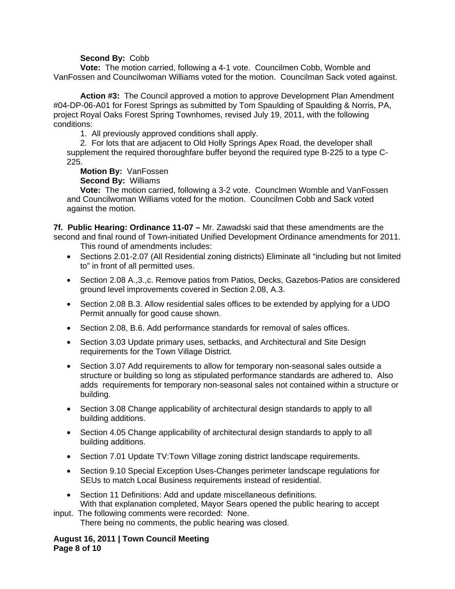### **Second By:** Cobb

**Vote:** The motion carried, following a 4-1 vote. Councilmen Cobb, Womble and VanFossen and Councilwoman Williams voted for the motion. Councilman Sack voted against.

**Action #3:** The Council approved a motion to approve Development Plan Amendment #04-DP-06-A01 for Forest Springs as submitted by Tom Spaulding of Spaulding & Norris, PA, project Royal Oaks Forest Spring Townhomes, revised July 19, 2011, with the following conditions:

1. All previously approved conditions shall apply.

 2. For lots that are adjacent to Old Holly Springs Apex Road, the developer shall supplement the required thoroughfare buffer beyond the required type B-225 to a type C-225.

# **Motion By:** VanFossen

**Second By:** Williams

**Vote:** The motion carried, following a 3-2 vote. Counclmen Womble and VanFossen and Councilwoman Williams voted for the motion. Councilmen Cobb and Sack voted against the motion.

**7f. Public Hearing: Ordinance 11-07 –** Mr. Zawadski said that these amendments are the second and final round of Town-initiated Unified Development Ordinance amendments for 2011. This round of amendments includes:

- Sections 2.01-2.07 (All Residential zoning districts) Eliminate all "including but not limited to" in front of all permitted uses.
- Section 2.08 A., 3., c. Remove patios from Patios, Decks, Gazebos-Patios are considered ground level improvements covered in Section 2.08, A.3.
- Section 2.08 B.3. Allow residential sales offices to be extended by applying for a UDO Permit annually for good cause shown.
- Section 2.08, B.6. Add performance standards for removal of sales offices.
- Section 3.03 Update primary uses, setbacks, and Architectural and Site Design requirements for the Town Village District.
- Section 3.07 Add requirements to allow for temporary non-seasonal sales outside a structure or building so long as stipulated performance standards are adhered to. Also adds requirements for temporary non-seasonal sales not contained within a structure or building.
- Section 3.08 Change applicability of architectural design standards to apply to all building additions.
- Section 4.05 Change applicability of architectural design standards to apply to all building additions.
- Section 7.01 Update TV:Town Village zoning district landscape requirements.
- Section 9.10 Special Exception Uses-Changes perimeter landscape regulations for SEUs to match Local Business requirements instead of residential.
- Section 11 Definitions: Add and update miscellaneous definitions. With that explanation completed, Mayor Sears opened the public hearing to accept

input. The following comments were recorded: None. There being no comments, the public hearing was closed.

## **August 16, 2011 | Town Council Meeting Page 8 of 10**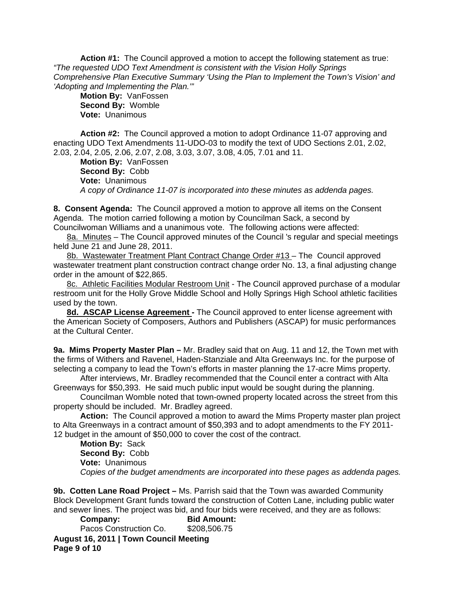**Action #1:** The Council approved a motion to accept the following statement as true: *"The requested UDO Text Amendment is consistent with the Vision Holly Springs Comprehensive Plan Executive Summary 'Using the Plan to Implement the Town's Vision' and 'Adopting and Implementing the Plan.'"* 

**Motion By:** VanFossen **Second By:** Womble **Vote:** Unanimous

 **Action #2:** The Council approved a motion to adopt Ordinance 11-07 approving and enacting UDO Text Amendments 11-UDO-03 to modify the text of UDO Sections 2.01, 2.02, 2.03, 2.04, 2.05, 2.06, 2.07, 2.08, 3.03, 3.07, 3.08, 4.05, 7.01 and 11.

**Motion By:** VanFossen **Second By:** Cobb **Vote:** Unanimous *A copy of Ordinance 11-07 is incorporated into these minutes as addenda pages.*

**8. Consent Agenda:** The Council approved a motion to approve all items on the Consent Agenda. The motion carried following a motion by Councilman Sack, a second by Councilwoman Williams and a unanimous vote. The following actions were affected:

8a. Minutes – The Council approved minutes of the Council 's regular and special meetings held June 21 and June 28, 2011.

8b. Wastewater Treatment Plant Contract Change Order #13 – The Council approved wastewater treatment plant construction contract change order No. 13, a final adjusting change order in the amount of \$22,865.

8c. Athletic Facilities Modular Restroom Unit - The Council approved purchase of a modular restroom unit for the Holly Grove Middle School and Holly Springs High School athletic facilities used by the town.

**8d. ASCAP License Agreement -** The Council approved to enter license agreement with the American Society of Composers, Authors and Publishers (ASCAP) for music performances at the Cultural Center.

**9a. Mims Property Master Plan –** Mr. Bradley said that on Aug. 11 and 12, the Town met with the firms of Withers and Ravenel, Haden-Stanziale and Alta Greenways Inc. for the purpose of selecting a company to lead the Town's efforts in master planning the 17-acre Mims property.

 After interviews, Mr. Bradley recommended that the Council enter a contract with Alta Greenways for \$50,393. He said much public input would be sought during the planning.

 Councilman Womble noted that town-owned property located across the street from this property should be included. Mr. Bradley agreed.

**Action:** The Council approved a motion to award the Mims Property master plan project to Alta Greenways in a contract amount of \$50,393 and to adopt amendments to the FY 2011- 12 budget in the amount of \$50,000 to cover the cost of the contract.

**Motion By:** Sack **Second By:** Cobb **Vote:** Unanimous *Copies of the budget amendments are incorporated into these pages as addenda pages.* 

**9b. Cotten Lane Road Project –** Ms. Parrish said that the Town was awarded Community Block Development Grant funds toward the construction of Cotten Lane, including public water and sewer lines. The project was bid, and four bids were received, and they are as follows:

**August 16, 2011 | Town Council Meeting Page 9 of 10 Company: Bid Amount:**  Pacos Construction Co. \$208,506.75